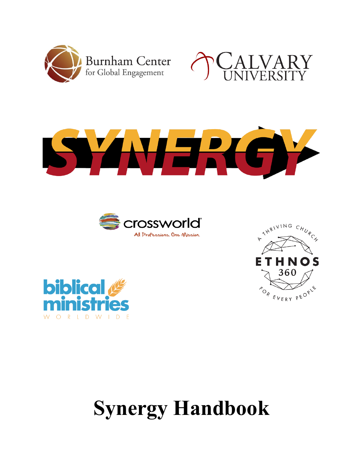











# **Synergy Handbook**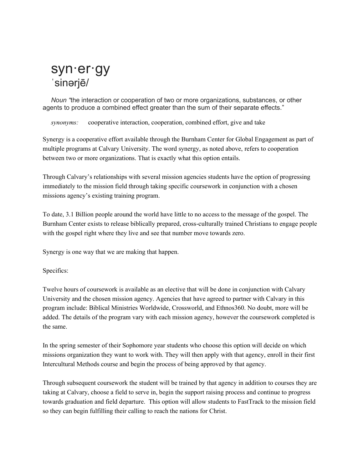# syn·er·gy ˈsinərjē/

*Noun "*the interaction or cooperation of two or more organizations, substances, or other agents to produce a combined effect greater than the sum of their separate effects."

*synonyms:* cooperative interaction, cooperation, combined effort, give and take

Synergy is a cooperative effort available through the Burnham Center for Global Engagement as part of multiple programs at Calvary University. The word synergy, as noted above, refers to cooperation between two or more organizations. That is exactly what this option entails.

Through Calvary's relationships with several mission agencies students have the option of progressing immediately to the mission field through taking specific coursework in conjunction with a chosen missions agency's existing training program.

To date, 3.1 Billion people around the world have little to no access to the message of the gospel. The Burnham Center exists to release biblically prepared, cross-culturally trained Christians to engage people with the gospel right where they live and see that number move towards zero.

Synergy is one way that we are making that happen.

Specifics:

Twelve hours of coursework is available as an elective that will be done in conjunction with Calvary University and the chosen mission agency. Agencies that have agreed to partner with Calvary in this program include: Biblical Ministries Worldwide, Crossworld, and Ethnos360. No doubt, more will be added. The details of the program vary with each mission agency, however the coursework completed is the same.

In the spring semester of their Sophomore year students who choose this option will decide on which missions organization they want to work with. They will then apply with that agency, enroll in their first Intercultural Methods course and begin the process of being approved by that agency.

Through subsequent coursework the student will be trained by that agency in addition to courses they are taking at Calvary, choose a field to serve in, begin the support raising process and continue to progress towards graduation and field departure. This option will allow students to FastTrack to the mission field so they can begin fulfilling their calling to reach the nations for Christ.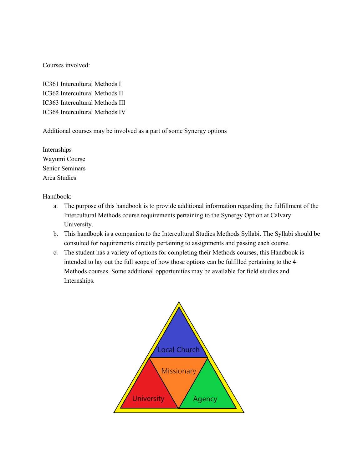Courses involved:

IC361 Intercultural Methods I IC362 Intercultural Methods II IC363 Intercultural Methods III IC364 Intercultural Methods IV

Additional courses may be involved as a part of some Synergy options

Internships Wayumi Course Senior Seminars Area Studies

Handbook:

- a. The purpose of this handbook is to provide additional information regarding the fulfillment of the Intercultural Methods course requirements pertaining to the Synergy Option at Calvary University.
- b. This handbook is a companion to the Intercultural Studies Methods Syllabi. The Syllabi should be consulted for requirements directly pertaining to assignments and passing each course.
- c. The student has a variety of options for completing their Methods courses, this Handbook is intended to lay out the full scope of how those options can be fulfilled pertaining to the 4 Methods courses. Some additional opportunities may be available for field studies and Internships.

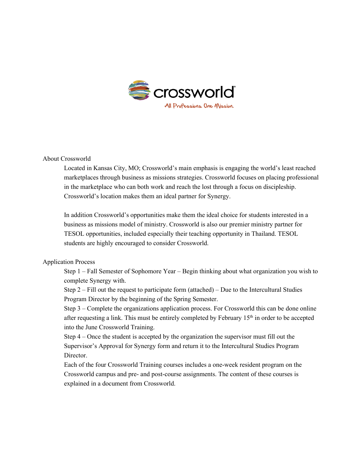

#### About Crossworld

Located in Kansas City, MO; Crossworld's main emphasis is engaging the world's least reached marketplaces through business as missions strategies. Crossworld focuses on placing professional in the marketplace who can both work and reach the lost through a focus on discipleship. Crossworld's location makes them an ideal partner for Synergy.

In addition Crossworld's opportunities make them the ideal choice for students interested in a business as missions model of ministry. Crossworld is also our premier ministry partner for TESOL opportunities, included especially their teaching opportunity in Thailand. TESOL students are highly encouraged to consider Crossworld.

#### Application Process

Step 1 – Fall Semester of Sophomore Year – Begin thinking about what organization you wish to complete Synergy with.

Step  $2 -$  Fill out the request to participate form (attached) – Due to the Intercultural Studies Program Director by the beginning of the Spring Semester.

Step 3 – Complete the organizations application process. For Crossworld this can be done online after requesting a link. This must be entirely completed by February 15<sup>th</sup> in order to be accepted into the June Crossworld Training.

Step 4 – Once the student is accepted by the organization the supervisor must fill out the Supervisor's Approval for Synergy form and return it to the Intercultural Studies Program Director.

Each of the four Crossworld Training courses includes a one-week resident program on the Crossworld campus and pre- and post-course assignments. The content of these courses is explained in a document from Crossworld.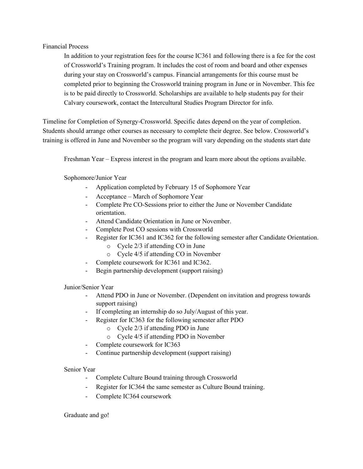#### Financial Process

In addition to your registration fees for the course IC361 and following there is a fee for the cost of Crossworld's Training program. It includes the cost of room and board and other expenses during your stay on Crossworld's campus. Financial arrangements for this course must be completed prior to beginning the Crossworld training program in June or in November. This fee is to be paid directly to Crossworld. Scholarships are available to help students pay for their Calvary coursework, contact the Intercultural Studies Program Director for info.

Timeline for Completion of Synergy-Crossworld. Specific dates depend on the year of completion. Students should arrange other courses as necessary to complete their degree. See below. Crossworld's training is offered in June and November so the program will vary depending on the students start date

Freshman Year – Express interest in the program and learn more about the options available.

Sophomore/Junior Year

- Application completed by February 15 of Sophomore Year
- Acceptance March of Sophomore Year
- Complete Pre CO-Sessions prior to either the June or November Candidate orientation.
- Attend Candidate Orientation in June or November.
- Complete Post CO sessions with Crossworld
- Register for IC361 and IC362 for the following semester after Candidate Orientation.
	- o Cycle 2/3 if attending CO in June
	- o Cycle 4/5 if attending CO in November
- Complete coursework for IC361 and IC362.
- Begin partnership development (support raising)

Junior/Senior Year

- Attend PDO in June or November. (Dependent on invitation and progress towards support raising)
- If completing an internship do so July/August of this year.
- Register for IC363 for the following semester after PDO
	- o Cycle 2/3 if attending PDO in June
	- o Cycle 4/5 if attending PDO in November
- Complete coursework for IC363
- Continue partnership development (support raising)

#### Senior Year

- Complete Culture Bound training through Crossworld
- Register for IC364 the same semester as Culture Bound training.
- Complete IC364 coursework

#### Graduate and go!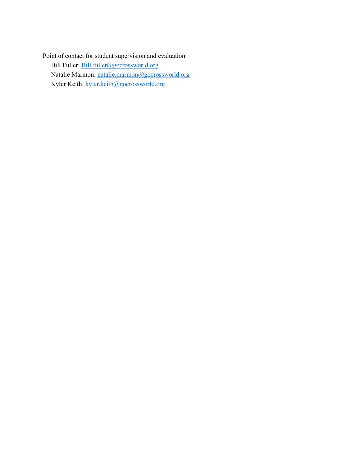Point of contact for student supervision and evaluation Bill Fuller: [Bill.fuller@gocrossworld.org](mailto:Bill.fuller@gocrossworld.org) Natalie Marmon: [natalie.marmon@gocrossworld.org](mailto:natalie.marmon@gocrossworld.org) Kyler Keith: [kyler.keith@gocrossworld.org](mailto:kyler.keith@gocrossworld.org)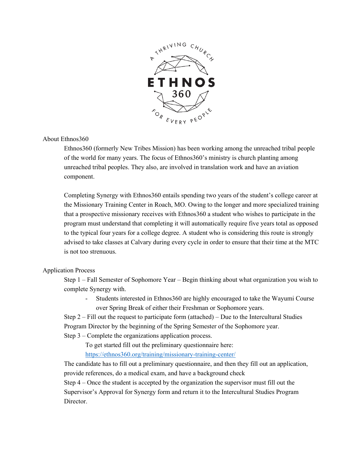

#### About Ethnos360

Ethnos360 (formerly New Tribes Mission) has been working among the unreached tribal people of the world for many years. The focus of Ethnos360's ministry is church planting among unreached tribal peoples. They also, are involved in translation work and have an aviation component.

Completing Synergy with Ethnos360 entails spending two years of the student's college career at the Missionary Training Center in Roach, MO. Owing to the longer and more specialized training that a prospective missionary receives with Ethnos360 a student who wishes to participate in the program must understand that completing it will automatically require five years total as opposed to the typical four years for a college degree. A student who is considering this route is strongly advised to take classes at Calvary during every cycle in order to ensure that their time at the MTC is not too strenuous.

#### Application Process

Step 1 – Fall Semester of Sophomore Year – Begin thinking about what organization you wish to complete Synergy with.

- Students interested in Ethnos360 are highly encouraged to take the Wayumi Course over Spring Break of either their Freshman or Sophomore years.

Step 2 – Fill out the request to participate form (attached) – Due to the Intercultural Studies Program Director by the beginning of the Spring Semester of the Sophomore year.

Step 3 – Complete the organizations application process.

To get started fill out the preliminary questionnaire here:

<https://ethnos360.org/training/missionary-training-center/>

The candidate has to fill out a preliminary questionnaire, and then they fill out an application, provide references, do a medical exam, and have a background check

Step 4 – Once the student is accepted by the organization the supervisor must fill out the Supervisor's Approval for Synergy form and return it to the Intercultural Studies Program Director.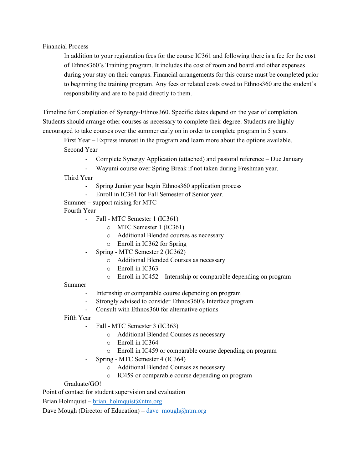Financial Process

In addition to your registration fees for the course IC361 and following there is a fee for the cost of Ethnos360's Training program. It includes the cost of room and board and other expenses during your stay on their campus. Financial arrangements for this course must be completed prior to beginning the training program. Any fees or related costs owed to Ethnos360 are the student's responsibility and are to be paid directly to them.

Timeline for Completion of Synergy-Ethnos360. Specific dates depend on the year of completion. Students should arrange other courses as necessary to complete their degree. Students are highly encouraged to take courses over the summer early on in order to complete program in 5 years.

First Year – Express interest in the program and learn more about the options available. Second Year

- Complete Synergy Application (attached) and pastoral reference Due January
- Wayumi course over Spring Break if not taken during Freshman year.

Third Year

- Spring Junior year begin Ethnos360 application process
- Enroll in IC361 for Fall Semester of Senior year.
- Summer support raising for MTC

Fourth Year

- Fall MTC Semester 1 (IC361)
	- o MTC Semester 1 (IC361)
	- o Additional Blended courses as necessary
	- o Enroll in IC362 for Spring
- Spring MTC Semester 2 (IC362)
	- o Additional Blended Courses as necessary
	- o Enroll in IC363
	- o Enroll in IC452 Internship or comparable depending on program

#### Summer

- Internship or comparable course depending on program
- Strongly advised to consider Ethnos 360's Interface program
- Consult with Ethnos360 for alternative options

Fifth Year

- Fall MTC Semester 3 (IC363)
	- o Additional Blended Courses as necessary
	- o Enroll in IC364
	- o Enroll in IC459 or comparable course depending on program
- Spring MTC Semester 4 (IC364)
	- o Additional Blended Courses as necessary
	- o IC459 or comparable course depending on program

#### Graduate/GO!

Point of contact for student supervision and evaluation

Brian Holmquist – brian holmquist@ntm.org

Dave Mough (Director of Education) – dave  $m \omega$ <sub>mough</sub> $@n \text{tr.}$ org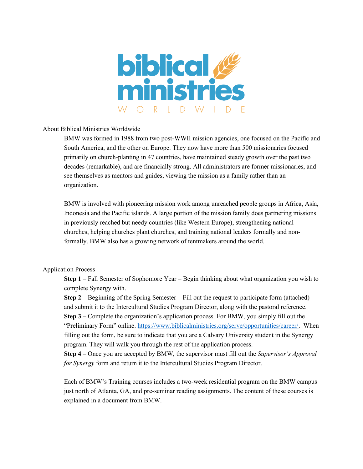

#### About Biblical Ministries Worldwide

BMW was formed in 1988 from two post-WWII mission agencies, one focused on the Pacific and South America, and the other on Europe. They now have more than 500 missionaries focused primarily on church-planting in 47 countries, have maintained steady growth over the past two decades (remarkable), and are financially strong. All administrators are former missionaries, and see themselves as mentors and guides, viewing the mission as a family rather than an organization.

BMW is involved with pioneering mission work among unreached people groups in Africa, Asia, Indonesia and the Pacific islands. A large portion of the mission family does partnering missions in previously reached but needy countries (like Western Europe), strengthening national churches, helping churches plant churches, and training national leaders formally and nonformally. BMW also has a growing network of tentmakers around the world.

#### Application Process

**Step 1** – Fall Semester of Sophomore Year – Begin thinking about what organization you wish to complete Synergy with.

**Step 2** – Beginning of the Spring Semester – Fill out the request to participate form (attached) and submit it to the Intercultural Studies Program Director, along with the pastoral reference. **Step 3** – Complete the organization's application process. For BMW, you simply fill out the "Preliminary Form" online. [https://www.biblicalministries.org/serve/opportunities/career/.](https://www.biblicalministries.org/serve/opportunities/career/) When filling out the form, be sure to indicate that you are a Calvary University student in the Synergy program. They will walk you through the rest of the application process.

**Step 4** – Once you are accepted by BMW, the supervisor must fill out the *Supervisor's Approval for Synergy* form and return it to the Intercultural Studies Program Director.

Each of BMW's Training courses includes a two-week residential program on the BMW campus just north of Atlanta, GA, and pre-seminar reading assignments. The content of these courses is explained in a document from BMW.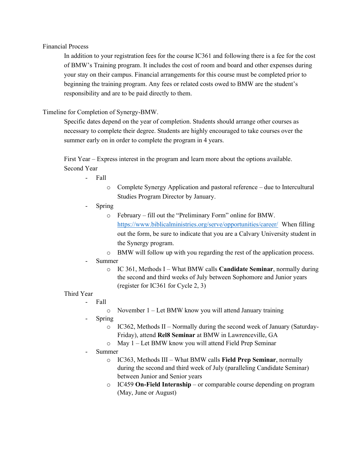#### Financial Process

In addition to your registration fees for the course IC361 and following there is a fee for the cost of BMW's Training program. It includes the cost of room and board and other expenses during your stay on their campus. Financial arrangements for this course must be completed prior to beginning the training program. Any fees or related costs owed to BMW are the student's responsibility and are to be paid directly to them.

#### Timeline for Completion of Synergy-BMW.

Specific dates depend on the year of completion. Students should arrange other courses as necessary to complete their degree. Students are highly encouraged to take courses over the summer early on in order to complete the program in 4 years.

First Year – Express interest in the program and learn more about the options available. Second Year

- Fall
	- o Complete Synergy Application and pastoral reference due to Intercultural Studies Program Director by January.
- Spring
	- o February fill out the "Preliminary Form" online for BMW. <https://www.biblicalministries.org/serve/opportunities/career/>When filling out the form, be sure to indicate that you are a Calvary University student in the Synergy program.
	- o BMW will follow up with you regarding the rest of the application process.
- Summer
	- o IC 361, Methods I What BMW calls **Candidate Seminar**, normally during the second and third weeks of July between Sophomore and Junior years (register for IC361 for Cycle 2, 3)

#### Third Year

- Fall
	- o November 1 Let BMW know you will attend January training
- **Spring** 
	- $\circ$  IC362, Methods II Normally during the second week of January (Saturday-Friday), attend **Rel8 Seminar** at BMW in Lawrenceville, GA
	- o May 1 Let BMW know you will attend Field Prep Seminar
- Summer
	- o IC363, Methods III What BMW calls **Field Prep Seminar**, normally during the second and third week of July (paralleling Candidate Seminar) between Junior and Senior years
	- o IC459 **On-Field Internship** or comparable course depending on program (May, June or August)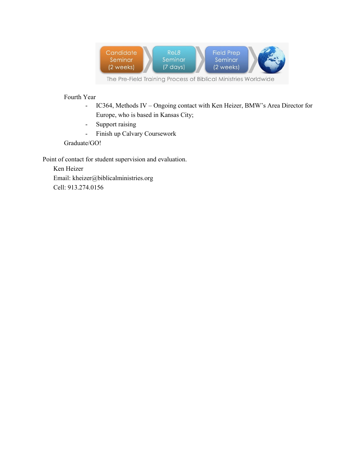

Fourth Year

- IC364, Methods IV Ongoing contact with Ken Heizer, BMW's Area Director for Europe, who is based in Kansas City;
- Support raising
- Finish up Calvary Coursework

Graduate/GO!

Point of contact for student supervision and evaluation.

Ken Heizer Email: kheizer@biblicalministries.org Cell: 913.274.0156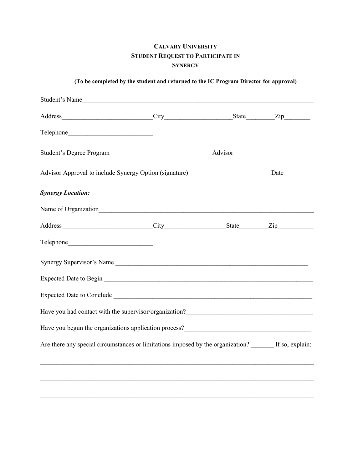### **CALVARY UNIVERSITY STUDENT REQUEST TO PARTICIPATE IN SYNERGY**

|  |  | (To be completed by the student and returned to the IC Program Director for approval) |  |  |
|--|--|---------------------------------------------------------------------------------------|--|--|
|  |  |                                                                                       |  |  |
|  |  |                                                                                       |  |  |

| Student's Name                                                                                         |  |                  |
|--------------------------------------------------------------------------------------------------------|--|------------------|
|                                                                                                        |  | $\mathsf{Zip}\_$ |
|                                                                                                        |  |                  |
|                                                                                                        |  |                  |
| Advisor Approval to include Synergy Option (signature) Date                                            |  |                  |
| <b>Synergy Location:</b>                                                                               |  |                  |
|                                                                                                        |  |                  |
|                                                                                                        |  |                  |
|                                                                                                        |  |                  |
| Synergy Supervisor's Name                                                                              |  |                  |
|                                                                                                        |  |                  |
| Expected Date to Conclude                                                                              |  |                  |
|                                                                                                        |  |                  |
|                                                                                                        |  |                  |
| Are there any special circumstances or limitations imposed by the organization? ______ If so, explain: |  |                  |
| ,我们也不能在这里的人,我们也不能在这里的人,我们也不能在这里的人,我们也不能在这里的人,我们也不能在这里的人,我们也不能在这里的人,我们也不能在这里的人,我们也                      |  |                  |
|                                                                                                        |  |                  |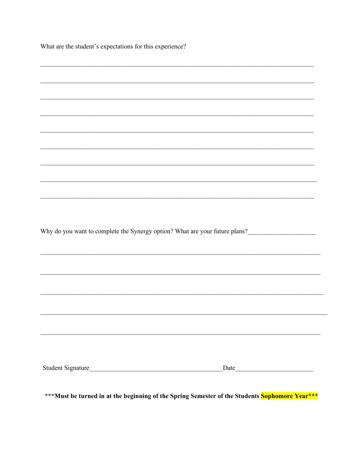What are the student's expectations for this experience?

| Why do you want to complete the Synergy option? What are your future plans?                    |      |
|------------------------------------------------------------------------------------------------|------|
|                                                                                                |      |
|                                                                                                |      |
|                                                                                                |      |
|                                                                                                |      |
|                                                                                                |      |
|                                                                                                |      |
|                                                                                                |      |
|                                                                                                |      |
|                                                                                                |      |
|                                                                                                |      |
|                                                                                                |      |
|                                                                                                |      |
|                                                                                                |      |
|                                                                                                |      |
|                                                                                                |      |
|                                                                                                | Date |
|                                                                                                |      |
|                                                                                                |      |
| ***Must be turned in at the beginning of the Spring Semester of the Students Sophomore Year*** |      |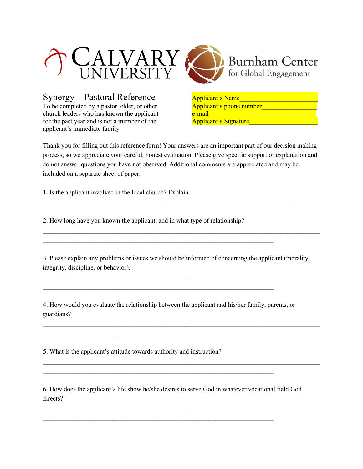

Synergy – Pastoral Reference Applicant's Name To be completed by a pastor, elder, or other Applicant's phone number church leaders who has known the applicant e-mail\_\_\_\_\_\_\_\_\_\_\_\_\_\_\_\_\_\_\_\_\_\_\_\_\_\_\_\_\_\_\_\_\_ for the past year and is not a member of the Applicant's Signature applicant's immediate family



Thank you for filling out this reference form! Your answers are an important part of our decision making process, so we appreciate your careful, honest evaluation. Please give specific support or explanation and do not answer questions you have not observed. Additional comments are appreciated and may be included on a separate sheet of paper.

1. Is the applicant involved in the local church? Explain.

2. How long have you known the applicant, and in what type of relationship?

3. Please explain any problems or issues we should be informed of concerning the applicant (morality, integrity, discipline, or behavior).

 $\mathcal{L}_\text{max} = \mathcal{L}_\text{max} = \mathcal{L}_\text{max} = \mathcal{L}_\text{max} = \mathcal{L}_\text{max} = \mathcal{L}_\text{max} = \mathcal{L}_\text{max} = \mathcal{L}_\text{max} = \mathcal{L}_\text{max} = \mathcal{L}_\text{max} = \mathcal{L}_\text{max} = \mathcal{L}_\text{max} = \mathcal{L}_\text{max} = \mathcal{L}_\text{max} = \mathcal{L}_\text{max} = \mathcal{L}_\text{max} = \mathcal{L}_\text{max} = \mathcal{L}_\text{max} = \mathcal{$ 

 $\mathcal{L}_\text{max} = \mathcal{L}_\text{max} = \mathcal{L}_\text{max} = \mathcal{L}_\text{max} = \mathcal{L}_\text{max} = \mathcal{L}_\text{max} = \mathcal{L}_\text{max} = \mathcal{L}_\text{max} = \mathcal{L}_\text{max} = \mathcal{L}_\text{max} = \mathcal{L}_\text{max} = \mathcal{L}_\text{max} = \mathcal{L}_\text{max} = \mathcal{L}_\text{max} = \mathcal{L}_\text{max} = \mathcal{L}_\text{max} = \mathcal{L}_\text{max} = \mathcal{L}_\text{max} = \mathcal{$ 

 $\_$  , and the set of the set of the set of the set of the set of the set of the set of the set of the set of the set of the set of the set of the set of the set of the set of the set of the set of the set of the set of th

 $\_$  , and the set of the set of the set of the set of the set of the set of the set of the set of the set of the set of the set of the set of the set of the set of the set of the set of the set of the set of the set of th

 $\mathcal{L}_\mathcal{L} = \{ \mathcal{L}_\mathcal{L} = \{ \mathcal{L}_\mathcal{L} = \{ \mathcal{L}_\mathcal{L} = \{ \mathcal{L}_\mathcal{L} = \{ \mathcal{L}_\mathcal{L} = \{ \mathcal{L}_\mathcal{L} = \{ \mathcal{L}_\mathcal{L} = \{ \mathcal{L}_\mathcal{L} = \{ \mathcal{L}_\mathcal{L} = \{ \mathcal{L}_\mathcal{L} = \{ \mathcal{L}_\mathcal{L} = \{ \mathcal{L}_\mathcal{L} = \{ \mathcal{L}_\mathcal{L} = \{ \mathcal{L}_\mathcal{$ 

4. How would you evaluate the relationship between the applicant and his/her family, parents, or guardians?

 $\mathcal{L}_\text{max} = \mathcal{L}_\text{max} = \mathcal{L}_\text{max} = \mathcal{L}_\text{max} = \mathcal{L}_\text{max} = \mathcal{L}_\text{max} = \mathcal{L}_\text{max} = \mathcal{L}_\text{max} = \mathcal{L}_\text{max} = \mathcal{L}_\text{max} = \mathcal{L}_\text{max} = \mathcal{L}_\text{max} = \mathcal{L}_\text{max} = \mathcal{L}_\text{max} = \mathcal{L}_\text{max} = \mathcal{L}_\text{max} = \mathcal{L}_\text{max} = \mathcal{L}_\text{max} = \mathcal{$ 

 $\mathcal{L}_\text{max} = \mathcal{L}_\text{max} = \mathcal{L}_\text{max} = \mathcal{L}_\text{max} = \mathcal{L}_\text{max} = \mathcal{L}_\text{max} = \mathcal{L}_\text{max} = \mathcal{L}_\text{max} = \mathcal{L}_\text{max} = \mathcal{L}_\text{max} = \mathcal{L}_\text{max} = \mathcal{L}_\text{max} = \mathcal{L}_\text{max} = \mathcal{L}_\text{max} = \mathcal{L}_\text{max} = \mathcal{L}_\text{max} = \mathcal{L}_\text{max} = \mathcal{L}_\text{max} = \mathcal{$ 

 $\mathcal{L}_\text{max} = \mathcal{L}_\text{max} = \mathcal{L}_\text{max} = \mathcal{L}_\text{max} = \mathcal{L}_\text{max} = \mathcal{L}_\text{max} = \mathcal{L}_\text{max} = \mathcal{L}_\text{max} = \mathcal{L}_\text{max} = \mathcal{L}_\text{max} = \mathcal{L}_\text{max} = \mathcal{L}_\text{max} = \mathcal{L}_\text{max} = \mathcal{L}_\text{max} = \mathcal{L}_\text{max} = \mathcal{L}_\text{max} = \mathcal{L}_\text{max} = \mathcal{L}_\text{max} = \mathcal{$ 

 $\mathcal{L}_\text{max} = \mathcal{L}_\text{max} = \mathcal{L}_\text{max} = \mathcal{L}_\text{max} = \mathcal{L}_\text{max} = \mathcal{L}_\text{max} = \mathcal{L}_\text{max} = \mathcal{L}_\text{max} = \mathcal{L}_\text{max} = \mathcal{L}_\text{max} = \mathcal{L}_\text{max} = \mathcal{L}_\text{max} = \mathcal{L}_\text{max} = \mathcal{L}_\text{max} = \mathcal{L}_\text{max} = \mathcal{L}_\text{max} = \mathcal{L}_\text{max} = \mathcal{L}_\text{max} = \mathcal{$ 

5. What is the applicant's attitude towards authority and instruction?

6. How does the applicant's life show he/she desires to serve God in whatever vocational field God directs?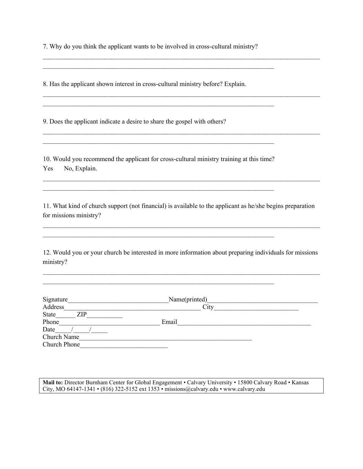7. Why do you think the applicant wants to be involved in cross-cultural ministry?

 $\mathcal{L}_\text{max} = \mathcal{L}_\text{max} = \mathcal{L}_\text{max} = \mathcal{L}_\text{max} = \mathcal{L}_\text{max} = \mathcal{L}_\text{max} = \mathcal{L}_\text{max} = \mathcal{L}_\text{max} = \mathcal{L}_\text{max} = \mathcal{L}_\text{max} = \mathcal{L}_\text{max} = \mathcal{L}_\text{max} = \mathcal{L}_\text{max} = \mathcal{L}_\text{max} = \mathcal{L}_\text{max} = \mathcal{L}_\text{max} = \mathcal{L}_\text{max} = \mathcal{L}_\text{max} = \mathcal{$ 

 $\mathcal{L}_\text{max} = \mathcal{L}_\text{max} = \mathcal{L}_\text{max} = \mathcal{L}_\text{max} = \mathcal{L}_\text{max} = \mathcal{L}_\text{max} = \mathcal{L}_\text{max} = \mathcal{L}_\text{max} = \mathcal{L}_\text{max} = \mathcal{L}_\text{max} = \mathcal{L}_\text{max} = \mathcal{L}_\text{max} = \mathcal{L}_\text{max} = \mathcal{L}_\text{max} = \mathcal{L}_\text{max} = \mathcal{L}_\text{max} = \mathcal{L}_\text{max} = \mathcal{L}_\text{max} = \mathcal{$ 

 $\mathcal{L}_\text{max} = \mathcal{L}_\text{max} = \mathcal{L}_\text{max} = \mathcal{L}_\text{max} = \mathcal{L}_\text{max} = \mathcal{L}_\text{max} = \mathcal{L}_\text{max} = \mathcal{L}_\text{max} = \mathcal{L}_\text{max} = \mathcal{L}_\text{max} = \mathcal{L}_\text{max} = \mathcal{L}_\text{max} = \mathcal{L}_\text{max} = \mathcal{L}_\text{max} = \mathcal{L}_\text{max} = \mathcal{L}_\text{max} = \mathcal{L}_\text{max} = \mathcal{L}_\text{max} = \mathcal{$ 

 $\_$  , and the set of the set of the set of the set of the set of the set of the set of the set of the set of the set of the set of the set of the set of the set of the set of the set of the set of the set of the set of th

8. Has the applicant shown interest in cross-cultural ministry before? Explain.

9. Does the applicant indicate a desire to share the gospel with others?

10. Would you recommend the applicant for cross-cultural ministry training at this time? Yes No, Explain.

 $\mathcal{L}_\text{max} = \mathcal{L}_\text{max} = \mathcal{L}_\text{max} = \mathcal{L}_\text{max} = \mathcal{L}_\text{max} = \mathcal{L}_\text{max} = \mathcal{L}_\text{max} = \mathcal{L}_\text{max} = \mathcal{L}_\text{max} = \mathcal{L}_\text{max} = \mathcal{L}_\text{max} = \mathcal{L}_\text{max} = \mathcal{L}_\text{max} = \mathcal{L}_\text{max} = \mathcal{L}_\text{max} = \mathcal{L}_\text{max} = \mathcal{L}_\text{max} = \mathcal{L}_\text{max} = \mathcal{$ 

 $\mathcal{L}_\text{max} = \mathcal{L}_\text{max} = \mathcal{L}_\text{max} = \mathcal{L}_\text{max} = \mathcal{L}_\text{max} = \mathcal{L}_\text{max} = \mathcal{L}_\text{max} = \mathcal{L}_\text{max} = \mathcal{L}_\text{max} = \mathcal{L}_\text{max} = \mathcal{L}_\text{max} = \mathcal{L}_\text{max} = \mathcal{L}_\text{max} = \mathcal{L}_\text{max} = \mathcal{L}_\text{max} = \mathcal{L}_\text{max} = \mathcal{L}_\text{max} = \mathcal{L}_\text{max} = \mathcal{$ 

 $\mathcal{L}_\text{max} = \mathcal{L}_\text{max} = \mathcal{L}_\text{max} = \mathcal{L}_\text{max} = \mathcal{L}_\text{max} = \mathcal{L}_\text{max} = \mathcal{L}_\text{max} = \mathcal{L}_\text{max} = \mathcal{L}_\text{max} = \mathcal{L}_\text{max} = \mathcal{L}_\text{max} = \mathcal{L}_\text{max} = \mathcal{L}_\text{max} = \mathcal{L}_\text{max} = \mathcal{L}_\text{max} = \mathcal{L}_\text{max} = \mathcal{L}_\text{max} = \mathcal{L}_\text{max} = \mathcal{$ 

 $\mathcal{L}_\text{max}$  , and the contract of the contract of the contract of the contract of the contract of the contract of

11. What kind of church support (not financial) is available to the applicant as he/she begins preparation for missions ministry?

 $\mathcal{L}_\text{max} = \mathcal{L}_\text{max} = \mathcal{L}_\text{max} = \mathcal{L}_\text{max} = \mathcal{L}_\text{max} = \mathcal{L}_\text{max} = \mathcal{L}_\text{max} = \mathcal{L}_\text{max} = \mathcal{L}_\text{max} = \mathcal{L}_\text{max} = \mathcal{L}_\text{max} = \mathcal{L}_\text{max} = \mathcal{L}_\text{max} = \mathcal{L}_\text{max} = \mathcal{L}_\text{max} = \mathcal{L}_\text{max} = \mathcal{L}_\text{max} = \mathcal{L}_\text{max} = \mathcal{$ 

 $\mathcal{L}_\text{max} = \mathcal{L}_\text{max} = \mathcal{L}_\text{max} = \mathcal{L}_\text{max} = \mathcal{L}_\text{max} = \mathcal{L}_\text{max} = \mathcal{L}_\text{max} = \mathcal{L}_\text{max} = \mathcal{L}_\text{max} = \mathcal{L}_\text{max} = \mathcal{L}_\text{max} = \mathcal{L}_\text{max} = \mathcal{L}_\text{max} = \mathcal{L}_\text{max} = \mathcal{L}_\text{max} = \mathcal{L}_\text{max} = \mathcal{L}_\text{max} = \mathcal{L}_\text{max} = \mathcal{$ 

12. Would you or your church be interested in more information about preparing individuals for missions ministry?

 $\mathcal{L}_\text{max} = \mathcal{L}_\text{max} = \mathcal{L}_\text{max} = \mathcal{L}_\text{max} = \mathcal{L}_\text{max} = \mathcal{L}_\text{max} = \mathcal{L}_\text{max} = \mathcal{L}_\text{max} = \mathcal{L}_\text{max} = \mathcal{L}_\text{max} = \mathcal{L}_\text{max} = \mathcal{L}_\text{max} = \mathcal{L}_\text{max} = \mathcal{L}_\text{max} = \mathcal{L}_\text{max} = \mathcal{L}_\text{max} = \mathcal{L}_\text{max} = \mathcal{L}_\text{max} = \mathcal{$ 

| Signature           | Name(printed) |
|---------------------|---------------|
| Address             | City          |
| State<br><b>ZIP</b> |               |
| Phone               | Email         |
| Date                |               |
| Church Name         |               |
| Church Phone        |               |

Mail to: Director Burnham Center for Global Engagement • Calvary University • 15800 Calvary Road • Kansas City, MO 64147-1341 • (816) 322-5152 ext 1353 • missions@calvary.edu • www.calvary.edu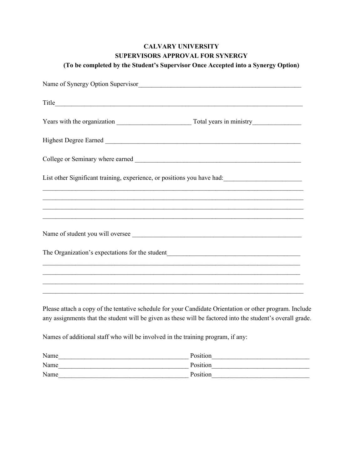## **CALVARY UNIVERSITY SUPERVISORS APPROVAL FOR SYNERGY**

| List other Significant training, experience, or positions you have had: ____________________________                                                                  |  |  |  |  |
|-----------------------------------------------------------------------------------------------------------------------------------------------------------------------|--|--|--|--|
| ,我们也不能在这里的人,我们也不能在这里的人,我们也不能在这里的人,我们也不能在这里的人,我们也不能在这里的人,我们也不能在这里的人,我们也不能在这里的人,我们也                                                                                     |  |  |  |  |
|                                                                                                                                                                       |  |  |  |  |
| ,我们也不能在这里的人,我们也不能在这里的人,我们也不能在这里的人,我们也不能在这里的人,我们也不能在这里的人,我们也不能在这里的人,我们也不能在这里的人,我们也                                                                                     |  |  |  |  |
|                                                                                                                                                                       |  |  |  |  |
|                                                                                                                                                                       |  |  |  |  |
| ,我们也不能在这里的人,我们也不能在这里的人,我们也不能在这里的人,我们也不能在这里的人,我们也不能在这里的人,我们也不能在这里的人,我们也不能在这里的人,我们也<br>,我们也不能在这里的人,我们也不能在这里的人,我们也不能不能不能不能不能不能不能不能不能不能不能不能。""我们的人,我们也不能不能不能不能不能不能不能不能不能不 |  |  |  |  |
|                                                                                                                                                                       |  |  |  |  |
|                                                                                                                                                                       |  |  |  |  |

Please attach a copy of the tentative schedule for your Candidate Orientation or other program. Include any assignments that the student will be given as these will be factored into the student's overall grade.

Names of additional staff who will be involved in the training program, if any:

| Name | Position |
|------|----------|
| Name | Position |
| Name | Position |